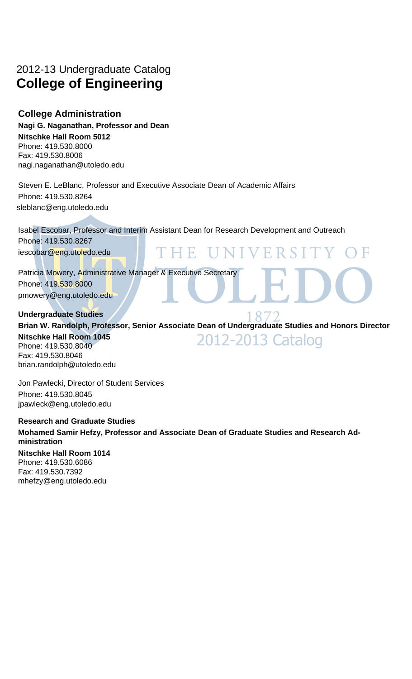# 2012-13 Undergraduate Catalog **College of Engineering**

## **College Administration**

**Nagi G. Naganathan, Professor and Dean Nitschke Hall Room 5012**  Phone: 419.530.8000 Fax: 419.530.8006 nagi.naganathan@utoledo.edu

Steven E. LeBlanc, Professor and Executive Associate Dean of Academic Affairs Phone: 419.530.8264 sleblanc@eng.utoledo.edu

Isabel Escobar, Professor and Interim Assistant Dean for Research Development and Outreach Phone: 419.530.8267 THE UNIVERSI iescobar@eng.utoledo.edu

Patricia Mowery, Administrative Manager & Executive Secretary Phone: 419.530.8000 pmowery@eng.utoledo.edu

**Brian W. Randolph, Professor, Senior Associate Dean of Undergraduate Studies and Honors Director Undergraduate Studies Nitschke Hall Room 1045**  2012-2013 Catalog Phone: 419.530.8040 Fax: 419.530.8046 brian.randolph@utoledo.edu

Jon Pawlecki, Director of Student Services Phone: 419.530.8045 jpawleck@eng.utoledo.edu

**Research and Graduate Studies Mohamed Samir Hefzy, Professor and Associate Dean of Graduate Studies and Research Administration Nitschke Hall Room 1014**  Phone: 419.530.6086 Fax: 419.530.7392 mhefzy@eng.utoledo.edu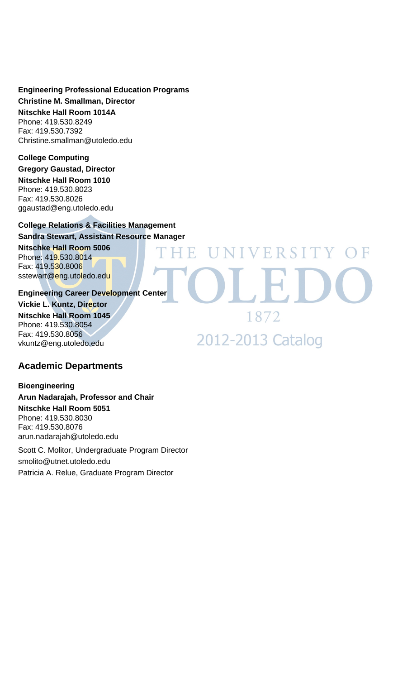#### **Engineering Professional Education Programs**

**Christine M. Smallman, Director Nitschke Hall Room 1014A**  Phone: 419.530.8249

Fax: 419.530.7392 Christine.smallman@utoledo.edu

# **College Computing**

**Gregory Gaustad, Director Nitschke Hall Room 1010**  Phone: 419.530.8023 Fax: 419.530.8026 ggaustad@eng.utoledo.edu

## **College Relations & Facilities Management Sandra Stewart, Assistant Resource Manager**

H E.

UNIVERSITY OF

H.

1872

2012-2013 Catalog

**Nitschke Hall Room 5006**  Phone: 419.530.8014 Fax: 419.530.8006 sstewart@eng.utoledo.edu

## **Engineering Career Development Center**

**Vickie L. Kuntz, Director Nitschke Hall Room 1045**  Phone: 419.530.8054 Fax: 419.530.8056 vkuntz@eng.utoledo.edu

## **Academic Departments**

## **Bioengineering Arun Nadarajah, Professor and Chair Nitschke Hall Room 5051**  Phone: 419.530.8030 Fax: 419.530.8076 arun.nadarajah@utoledo.edu

Scott C. Molitor, Undergraduate Program Director smolito@utnet.utoledo.edu Patricia A. Relue, Graduate Program Director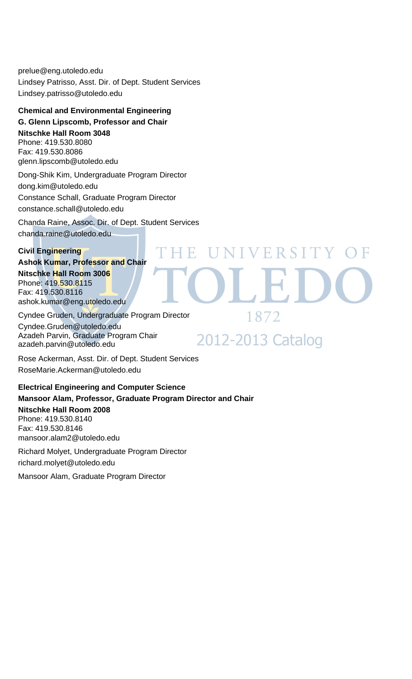prelue@eng.utoledo.edu Lindsey Patrisso, Asst. Dir. of Dept. Student Services Lindsey.patrisso@utoledo.edu

#### **Chemical and Environmental Engineering G. Glenn Lipscomb, Professor and Chair Nitschke Hall Room 3048**

Phone: 419.530.8080 Fax: 419.530.8086 glenn.lipscomb@utoledo.edu

Dong-Shik Kim, Undergraduate Program Director dong.kim@utoledo.edu Constance Schall, Graduate Program Director constance.schall@utoledo.edu

Chanda Raine, Assoc. Dir. of Dept. Student Services chanda.raine@utoledo.edu

## **Civil Engineering**

**Ashok Kumar, Professor and Chair** 

**Nitschke Hall Room 3006**  Phone: 419.530.8115 Fax: 419.530.8116 ashok.kumar@eng.utoledo.edu

Cyndee Gruden, Undergraduate Program Director

Cyndee.Gruden@utoledo.edu Azadeh Parvin, Graduate Program Chair azadeh.parvin@utoledo.edu

Rose Ackerman, Asst. Dir. of Dept. Student Services RoseMarie.Ackerman@utoledo.edu

## **Electrical Engineering and Computer Science Mansoor Alam, Professor, Graduate Program Director and Chair Nitschke Hall Room 2008**  Phone: 419.530.8140 Fax: 419.530.8146 mansoor.alam2@utoledo.edu

H E.

NIVERSITY

1872

2012-2013 Catalog

Richard Molyet, Undergraduate Program Director richard.molyet@utoledo.edu

Mansoor Alam, Graduate Program Director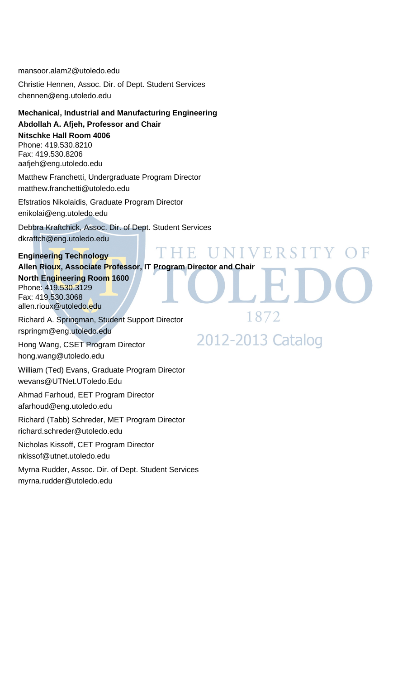| mansoor.alam2@utoledo.edu                                                                                                                                                                                     |  |
|---------------------------------------------------------------------------------------------------------------------------------------------------------------------------------------------------------------|--|
| Christie Hennen, Assoc. Dir. of Dept. Student Services                                                                                                                                                        |  |
| chennen@eng.utoledo.edu                                                                                                                                                                                       |  |
| <b>Mechanical, Industrial and Manufacturing Engineering</b><br>Abdollah A. Afjeh, Professor and Chair<br><b>Nitschke Hall Room 4006</b><br>Phone: 419.530.8210<br>Fax: 419.530.8206<br>aafjeh@eng.utoledo.edu |  |
| Matthew Franchetti, Undergraduate Program Director<br>matthew.franchetti@utoledo.edu                                                                                                                          |  |
| Efstratios Nikolaidis, Graduate Program Director<br>enikolai@eng.utoledo.edu                                                                                                                                  |  |
| Debbra Kraftchick, Assoc. Dir. of Dept. Student Services<br>dkraftch@eng.utoledo.edu<br>THE UNIVERSITY OF<br><b>Engineering Technology</b>                                                                    |  |
| Allen Rioux, Associate Professor, IT Program Director and Chair                                                                                                                                               |  |
| <b>North Engineering Room 1600</b><br>Phone: 419.530.3129<br>Fax: 419.530.3068<br>allen.rioux@utoledo.edu                                                                                                     |  |
| 1872<br>Richard A. Springman, Student Support Director                                                                                                                                                        |  |
| rspringm@eng.utoledo.edu<br>2012-2013 Catalog                                                                                                                                                                 |  |
| Hong Wang, CSET Program Director<br>hong.wang@utoledo.edu                                                                                                                                                     |  |
| William (Ted) Evans, Graduate Program Director<br>wevans@UTNet.UToledo.Edu                                                                                                                                    |  |
| Ahmad Farhoud, EET Program Director<br>afarhoud@eng.utoledo.edu                                                                                                                                               |  |
| Richard (Tabb) Schreder, MET Program Director<br>richard.schreder@utoledo.edu                                                                                                                                 |  |
| Nicholas Kissoff, CET Program Director<br>nkissof@utnet.utoledo.edu                                                                                                                                           |  |
| Myrna Rudder, Assoc. Dir. of Dept. Student Services                                                                                                                                                           |  |

myrna.rudder@utoledo.edu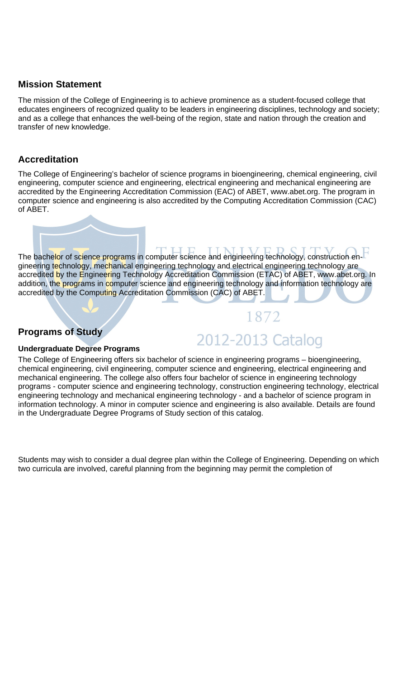## **Mission Statement**

The mission of the College of Engineering is to achieve prominence as a student-focused college that educates engineers of recognized quality to be leaders in engineering disciplines, technology and society; and as a college that enhances the well-being of the region, state and nation through the creation and transfer of new knowledge.

## **Accreditation**

The College of Engineering's bachelor of science programs in bioengineering, chemical engineering, civil engineering, computer science and engineering, electrical engineering and mechanical engineering are accredited by the Engineering Accreditation Commission (EAC) of ABET, www.abet.org. The program in computer science and engineering is also accredited by the Computing Accreditation Commission (CAC) of ABET.

The bachelor of science programs in computer science and engineering technology, construction engineering technology, mechanical engineering technology and electrical engineering technology are accredited by the Engineering Technology Accreditation Commission (ETAC) of ABET, www.abet.org. In addition, the programs in computer science and engineering technology and information technology are accredited by the Computing Accreditation Commission (CAC) of ABET.

1872

2012-2013 Catalog

## **Programs of Study**

**Undergraduate Degree Programs** 

The College of Engineering offers six bachelor of science in engineering programs – bioengineering, chemical engineering, civil engineering, computer science and engineering, electrical engineering and mechanical engineering. The college also offers four bachelor of science in engineering technology programs - computer science and engineering technology, construction engineering technology, electrical engineering technology and mechanical engineering technology - and a bachelor of science program in information technology. A minor in computer science and engineering is also available. Details are found in the Undergraduate Degree Programs of Study section of this catalog.

Students may wish to consider a dual degree plan within the College of Engineering. Depending on which two curricula are involved, careful planning from the beginning may permit the completion of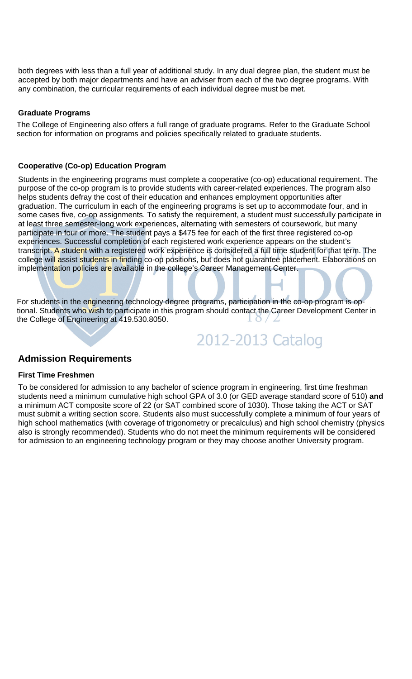both degrees with less than a full year of additional study. In any dual degree plan, the student must be accepted by both major departments and have an adviser from each of the two degree programs. With any combination, the curricular requirements of each individual degree must be met.

#### **Graduate Programs**

The College of Engineering also offers a full range of graduate programs. Refer to the Graduate School section for information on programs and policies specifically related to graduate students.

#### **Cooperative (Co-op) Education Program**

Students in the engineering programs must complete a cooperative (co-op) educational requirement. The purpose of the co-op program is to provide students with career-related experiences. The program also helps students defray the cost of their education and enhances employment opportunities after graduation. The curriculum in each of the engineering programs is set up to accommodate four, and in some cases five, co-op assignments. To satisfy the requirement, a student must successfully participate in at least three semester-long work experiences, alternating with semesters of coursework, but many participate in four or more. The student pays a \$475 fee for each of the first three registered co-op experiences. Successful completion of each registered work experience appears on the student's transcript. A student with a registered work experience is considered a full time student for that term. The college will assist students in finding co-op positions, but does not guarantee placement. Elaborations on implementation policies are available in the college's Career Management Center.

For students in the engineering technology degree programs, participation in the co-op program is optional. Students who wish to participate in this program should contact the Career Development Center in the College of Engineering at 419.530.8050.

# 2012-2013 Catalog

## **Admission Requirements**

#### **First Time Freshmen**

To be considered for admission to any bachelor of science program in engineering, first time freshman students need a minimum cumulative high school GPA of 3.0 (or GED average standard score of 510) **and**  a minimum ACT composite score of 22 (or SAT combined score of 1030). Those taking the ACT or SAT must submit a writing section score. Students also must successfully complete a minimum of four years of high school mathematics (with coverage of trigonometry or precalculus) and high school chemistry (physics also is strongly recommended). Students who do not meet the minimum requirements will be considered for admission to an engineering technology program or they may choose another University program.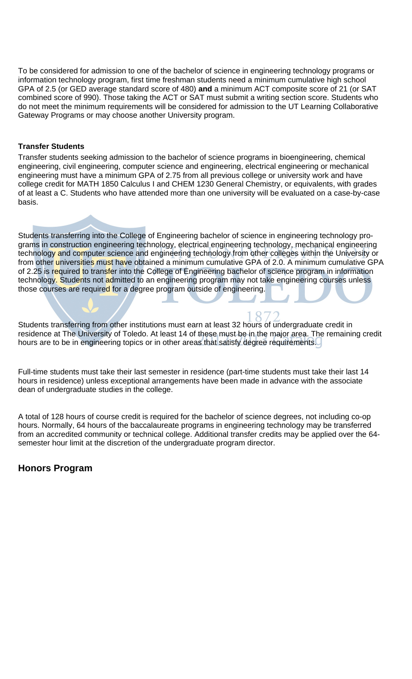To be considered for admission to one of the bachelor of science in engineering technology programs or information technology program, first time freshman students need a minimum cumulative high school GPA of 2.5 (or GED average standard score of 480) **and** a minimum ACT composite score of 21 (or SAT combined score of 990). Those taking the ACT or SAT must submit a writing section score. Students who do not meet the minimum requirements will be considered for admission to the UT Learning Collaborative Gateway Programs or may choose another University program.

#### **Transfer Students**

Transfer students seeking admission to the bachelor of science programs in bioengineering, chemical engineering, civil engineering, computer science and engineering, electrical engineering or mechanical engineering must have a minimum GPA of 2.75 from all previous college or university work and have college credit for MATH 1850 Calculus I and CHEM 1230 General Chemistry, or equivalents, with grades of at least a C. Students who have attended more than one university will be evaluated on a case-by-case basis.

Students transferring into the College of Engineering bachelor of science in engineering technology programs in construction engineering technology, electrical engineering technology, mechanical engineering technology and computer science and engineering technology from other colleges within the University or from other universities must have obtained a minimum cumulative GPA of 2.0. A minimum cumulative GPA of 2.25 is required to transfer into the College of Engineering bachelor of science program in information technology. Students not admitted to an engineering program may not take engineering courses unless those courses are required for a degree program outside of engineering.

Students transferring from other institutions must earn at least 32 hours of undergraduate credit in residence at The University of Toledo. At least 14 of these must be in the major area. The remaining credit hours are to be in engineering topics or in other areas that satisfy degree requirements.

Full-time students must take their last semester in residence (part-time students must take their last 14 hours in residence) unless exceptional arrangements have been made in advance with the associate dean of undergraduate studies in the college.

A total of 128 hours of course credit is required for the bachelor of science degrees, not including co-op hours. Normally, 64 hours of the baccalaureate programs in engineering technology may be transferred from an accredited community or technical college. Additional transfer credits may be applied over the 64 semester hour limit at the discretion of the undergraduate program director.

## **Honors Program**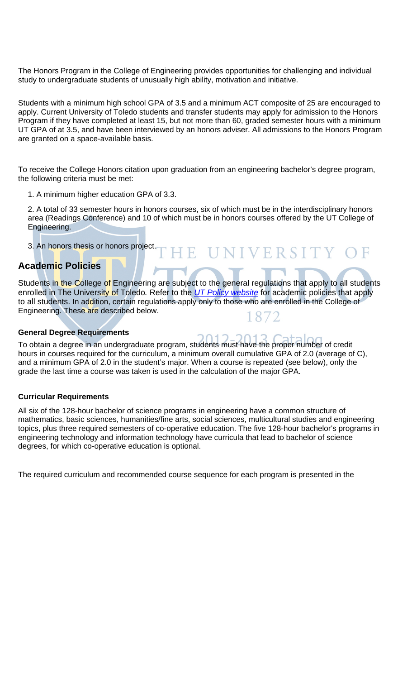The Honors Program in the College of Engineering provides opportunities for challenging and individual study to undergraduate students of unusually high ability, motivation and initiative.

Students with a minimum high school GPA of 3.5 and a minimum ACT composite of 25 are encouraged to apply. Current University of Toledo students and transfer students may apply for admission to the Honors Program if they have completed at least 15, but not more than 60, graded semester hours with a minimum UT GPA of at 3.5, and have been interviewed by an honors adviser. All admissions to the Honors Program are granted on a space-available basis.

To receive the College Honors citation upon graduation from an engineering bachelor's degree program, the following criteria must be met:

1. A minimum higher education GPA of 3.3.

2. A total of 33 semester hours in honors courses, six of which must be in the interdisciplinary honors area (Readings Conference) and 10 of which must be in honors courses offered by the UT College of Engineering.

3. An honors thesis or honors project. HE UNIVERSITY OF

## **Academic Policies**

Students in the College of Engineering are subject to the general regulations that apply to all students enrolled in The University of Toledo*.* Refer to the *UT Policy website* for academic policies that apply to all students. In addition, certain regulations apply only to those who are enrolled in the College of Engineering. These are described below.

#### **General Degree Requirements**

To obtain a degree in an undergraduate program, students must have the proper number of credit hours in courses required for the curriculum, a minimum overall cumulative GPA of 2.0 (average of C), and a minimum GPA of 2.0 in the student's major. When a course is repeated (see below), only the grade the last time a course was taken is used in the calculation of the major GPA.

#### **Curricular Requirements**

All six of the 128-hour bachelor of science programs in engineering have a common structure of mathematics, basic sciences, humanities/fine arts, social sciences, multicultural studies and engineering topics, plus three required semesters of co-operative education. The five 128-hour bachelor's programs in engineering technology and information technology have curricula that lead to bachelor of science degrees, for which co-operative education is optional.

The required curriculum and recommended course sequence for each program is presented in the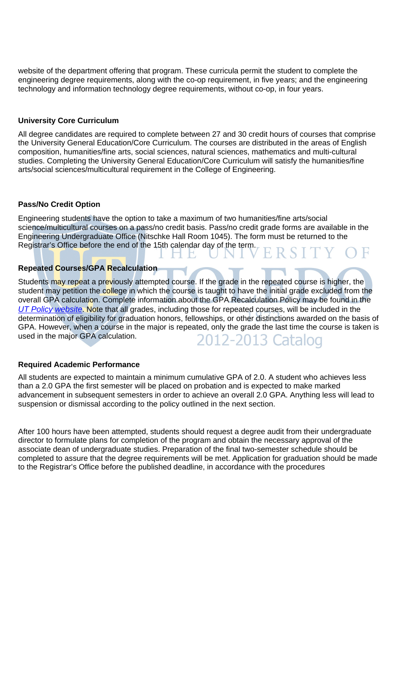website of the department offering that program. These curricula permit the student to complete the engineering degree requirements, along with the co-op requirement, in five years; and the engineering technology and information technology degree requirements, without co-op, in four years.

#### **University Core Curriculum**

All degree candidates are required to complete between 27 and 30 credit hours of courses that comprise the University General Education/Core Curriculum. The courses are distributed in the areas of English composition, humanities/fine arts, social sciences, natural sciences, mathematics and multi-cultural studies. Completing the University General Education/Core Curriculum will satisfy the humanities/fine arts/social sciences/multicultural requirement in the College of Engineering.

#### **Pass/No Credit Option**

Engineering students have the option to take a maximum of two humanities/fine arts/social science/multicultural courses on a pass/no credit basis. Pass/no credit grade forms are available in the Engineering Undergraduate Office (Nitschke Hall Room 1045). The form must be returned to the Registrar's Office before the end of the 15th calendar day of the term. ERSIT Ε

VI.

I N B

#### **Repeated Courses/GPA Recalculation**

Students may repeat a previously attempted course. If the grade in the repeated course is higher, the student may petition the college in which the course is taught to have the initial grade excluded from the overall GPA calculation. Complete information about the GPA Recalculation Policy may be found in the *UT Policy website*. Note that all grades, including those for repeated courses, will be included in the determination of eligibility for graduation honors, fellowships, or other distinctions awarded on the basis of GPA. However, when a course in the major is repeated, only the grade the last time the course is taken is used in the major GPA calculation. 2012-2013 Catalog

#### **Required Academic Performance**

All students are expected to maintain a minimum cumulative GPA of 2.0. A student who achieves less than a 2.0 GPA the first semester will be placed on probation and is expected to make marked advancement in subsequent semesters in order to achieve an overall 2.0 GPA. Anything less will lead to suspension or dismissal according to the policy outlined in the next section.

After 100 hours have been attempted, students should request a degree audit from their undergraduate director to formulate plans for completion of the program and obtain the necessary approval of the associate dean of undergraduate studies. Preparation of the final two-semester schedule should be completed to assure that the degree requirements will be met. Application for graduation should be made to the Registrar's Office before the published deadline, in accordance with the procedures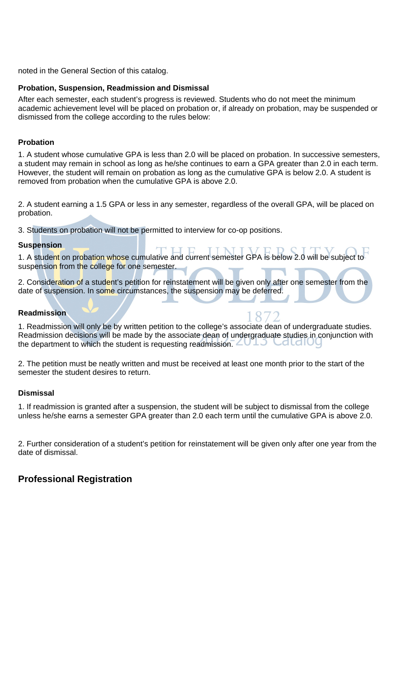noted in the General Section of this catalog.

#### **Probation, Suspension, Readmission and Dismissal**

After each semester, each student's progress is reviewed. Students who do not meet the minimum academic achievement level will be placed on probation or, if already on probation, may be suspended or dismissed from the college according to the rules below:

#### **Probation**

1. A student whose cumulative GPA is less than 2.0 will be placed on probation. In successive semesters, a student may remain in school as long as he/she continues to earn a GPA greater than 2.0 in each term. However, the student will remain on probation as long as the cumulative GPA is below 2.0. A student is removed from probation when the cumulative GPA is above 2.0.

2. A student earning a 1.5 GPA or less in any semester, regardless of the overall GPA, will be placed on probation.

3. Students on probation will not be permitted to interview for co-op positions.

#### **Suspension**

1. A student on probation whose cumulative and current semester GPA is below 2.0 will be subject to suspension from the college for one semester.

2. Consideration of a student's petition for reinstatement will be given only after one semester from the date of suspension. In some circumstances, the suspension may be deferred.

#### **Readmission**

1. Readmission will only be by written petition to the college's associate dean of undergraduate studies. Readmission decisions will be made by the associate dean of undergraduate studies in conjunction with the department to which the student is requesting readmission.

87

2. The petition must be neatly written and must be received at least one month prior to the start of the semester the student desires to return.

#### **Dismissal**

1. If readmission is granted after a suspension, the student will be subject to dismissal from the college unless he/she earns a semester GPA greater than 2.0 each term until the cumulative GPA is above 2.0.

2. Further consideration of a student's petition for reinstatement will be given only after one year from the date of dismissal.

## **Professional Registration**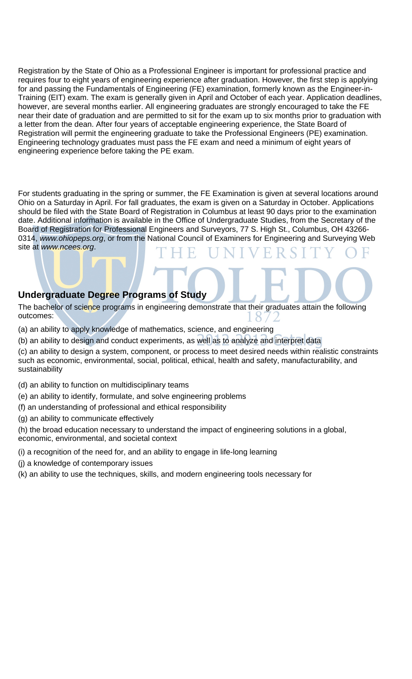Registration by the State of Ohio as a Professional Engineer is important for professional practice and requires four to eight years of engineering experience after graduation. However, the first step is applying for and passing the Fundamentals of Engineering (FE) examination, formerly known as the Engineer-in-Training (EIT) exam. The exam is generally given in April and October of each year. Application deadlines, however, are several months earlier. All engineering graduates are strongly encouraged to take the FE near their date of graduation and are permitted to sit for the exam up to six months prior to graduation with a letter from the dean. After four years of acceptable engineering experience, the State Board of Registration will permit the engineering graduate to take the Professional Engineers (PE) examination. Engineering technology graduates must pass the FE exam and need a minimum of eight years of engineering experience before taking the PE exam.

For students graduating in the spring or summer, the FE Examination is given at several locations around Ohio on a Saturday in April. For fall graduates, the exam is given on a Saturday in October. Applications should be filed with the State Board of Registration in Columbus at least 90 days prior to the examination date. Additional information is available in the Office of Undergraduate Studies, from the Secretary of the Board of Registration for Professional Engineers and Surveyors, 77 S. High St., Columbus, OH 43266- 0314, *www.ohiopeps.org*, or from the National Council of Examiners for Engineering and Surveying Web site at *www.ncees.org*.

## **Undergraduate Degree Programs of Study**

The bachelor of science programs in engineering demonstrate that their graduates attain the following outcomes:

- (a) an ability to apply knowledge of mathematics, science, and engineering
- (b) an ability to design and conduct experiments, as well as to analyze and interpret data

(c) an ability to design a system, component, or process to meet desired needs within realistic constraints such as economic, environmental, social, political, ethical, health and safety, manufacturability, and sustainability

- (d) an ability to function on multidisciplinary teams
- (e) an ability to identify, formulate, and solve engineering problems
- (f) an understanding of professional and ethical responsibility
- (g) an ability to communicate effectively

(h) the broad education necessary to understand the impact of engineering solutions in a global, economic, environmental, and societal context

- (i) a recognition of the need for, and an ability to engage in life-long learning
- (j) a knowledge of contemporary issues
- (k) an ability to use the techniques, skills, and modern engineering tools necessary for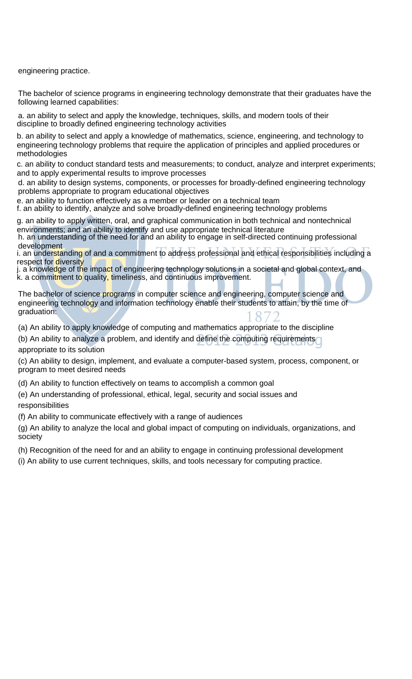engineering practice.

The bachelor of science programs in engineering technology demonstrate that their graduates have the following learned capabilities:

a. an ability to select and apply the knowledge, techniques, skills, and modern tools of their discipline to broadly defined engineering technology activities

b. an ability to select and apply a knowledge of mathematics, science, engineering, and technology to engineering technology problems that require the application of principles and applied procedures or methodologies

c. an ability to conduct standard tests and measurements; to conduct, analyze and interpret experiments; and to apply experimental results to improve processes

d. an ability to design systems, components, or processes for broadly-defined engineering technology problems appropriate to program educational objectives

e. an ability to function effectively as a member or leader on a technical team

f. an ability to identify, analyze and solve broadly-defined engineering technology problems

g. an ability to apply written, oral, and graphical communication in both technical and nontechnical environments; and an ability to identify and use appropriate technical literature

h. an understanding of the need for and an ability to engage in self-directed continuing professional development

i. an understanding of and a commitment to address professional and ethical responsibilities including a respect for diversity

j. a knowledge of the impact of engineering technology solutions in a societal and global context, and k. a commitment to quality, timeliness, and continuous improvement. ľ

The bachelor of science programs in computer science and engineering, computer science and engineering technology and information technology enable their students to attain, by the time of graduation:

(a) An ability to apply knowledge of computing and mathematics appropriate to the discipline

(b) An ability to analyze a problem, and identify and define the computing requirements appropriate to its solution

(c) An ability to design, implement, and evaluate a computer-based system, process, component, or program to meet desired needs

(d) An ability to function effectively on teams to accomplish a common goal

- (e) An understanding of professional, ethical, legal, security and social issues and
- responsibilities

(f) An ability to communicate effectively with a range of audiences

(g) An ability to analyze the local and global impact of computing on individuals, organizations, and society

(h) Recognition of the need for and an ability to engage in continuing professional development

(i) An ability to use current techniques, skills, and tools necessary for computing practice.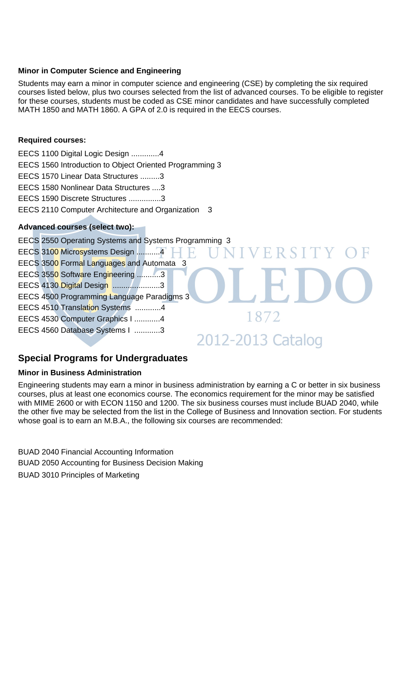#### **Minor in Computer Science and Engineering**

Students may earn a minor in computer science and engineering (CSE) by completing the six required courses listed below, plus two courses selected from the list of advanced courses. To be eligible to register for these courses, students must be coded as CSE minor candidates and have successfully completed MATH 1850 and MATH 1860. A GPA of 2.0 is required in the EECS courses.

VERSITY

1872

#### **Required courses:**

EECS 1100 Digital Logic Design .............4

EECS 1560 Introduction to Object Oriented Programming 3

EECS 1570 Linear Data Structures .........3

EECS 1580 Nonlinear Data Structures ....3

EECS 1590 Discrete Structures ...............3

EECS 2110 Computer Architecture and Organization 3

#### **Advanced courses (select two):**

EECS 2550 Operating Systems and Systems Programming 3

EECS 3100 Microsystems Design ...........4 Œ, EECS 3500 Formal Languages and Automata 3 EECS 3550 Software Engineering ...........3 EECS 4130 Digital Design ......................3 EECS 4500 Programming Language Paradigms 3 EECS 4510 Translation Systems ............4 EECS 4530 Computer Graphics I ............4 EECS 4560 Database Systems I ............3 2012-2013 Catalog

## **Special Programs for Undergraduates**

#### **Minor in Business Administration**

Engineering students may earn a minor in business administration by earning a C or better in six business courses, plus at least one economics course. The economics requirement for the minor may be satisfied with MIME 2600 or with ECON 1150 and 1200. The six business courses must include BUAD 2040, while the other five may be selected from the list in the College of Business and Innovation section. For students whose goal is to earn an M.B.A., the following six courses are recommended:

BUAD 2040 Financial Accounting Information BUAD 2050 Accounting for Business Decision Making BUAD 3010 Principles of Marketing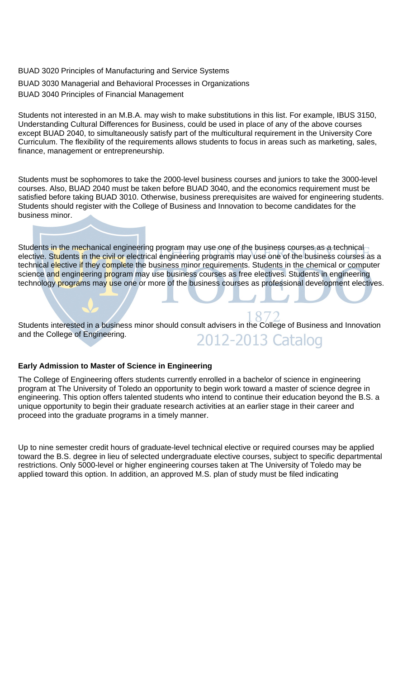BUAD 3020 Principles of Manufacturing and Service Systems BUAD 3030 Managerial and Behavioral Processes in Organizations BUAD 3040 Principles of Financial Management

Students not interested in an M.B.A. may wish to make substitutions in this list. For example, IBUS 3150, Understanding Cultural Differences for Business, could be used in place of any of the above courses except BUAD 2040, to simultaneously satisfy part of the multicultural requirement in the University Core Curriculum. The flexibility of the requirements allows students to focus in areas such as marketing, sales, finance, management or entrepreneurship.

Students must be sophomores to take the 2000-level business courses and juniors to take the 3000-level courses. Also, BUAD 2040 must be taken before BUAD 3040, and the economics requirement must be satisfied before taking BUAD 3010. Otherwise, business prerequisites are waived for engineering students. Students should register with the College of Business and Innovation to become candidates for the business minor.

Students in the mechanical engineering program may use one of the business courses as a technical elective. Students in the civil or electrical engineering programs may use one of the business courses as a technical elective if they complete the business minor requirements. Students in the chemical or computer science and engineering program may use business courses as free electives. Students in engineering technology programs may use one or more of the business courses as professional development electives.

Students interested in a business minor should consult advisers in the College of Business and Innovation and the College of Engineering. 2012-2013 Catalog

#### **Early Admission to Master of Science in Engineering**

The College of Engineering offers students currently enrolled in a bachelor of science in engineering program at The University of Toledo an opportunity to begin work toward a master of science degree in engineering. This option offers talented students who intend to continue their education beyond the B.S. a unique opportunity to begin their graduate research activities at an earlier stage in their career and proceed into the graduate programs in a timely manner.

Up to nine semester credit hours of graduate-level technical elective or required courses may be applied toward the B.S. degree in lieu of selected undergraduate elective courses, subject to specific departmental restrictions. Only 5000-level or higher engineering courses taken at The University of Toledo may be applied toward this option. In addition, an approved M.S. plan of study must be filed indicating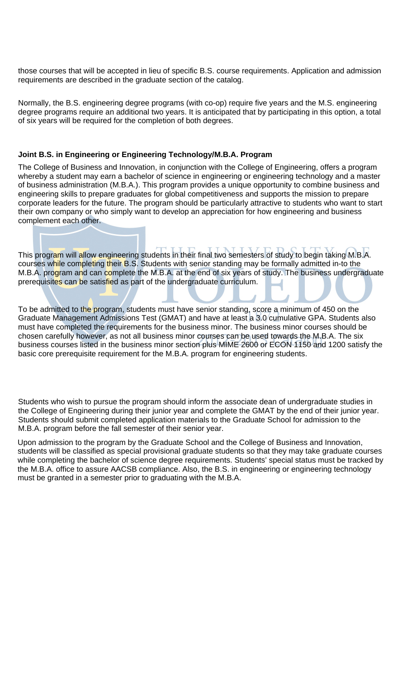those courses that will be accepted in lieu of specific B.S. course requirements. Application and admission requirements are described in the graduate section of the catalog.

Normally, the B.S. engineering degree programs (with co-op) require five years and the M.S. engineering degree programs require an additional two years. It is anticipated that by participating in this option, a total of six years will be required for the completion of both degrees.

#### **Joint B.S. in Engineering or Engineering Technology/M.B.A. Program**

The College of Business and Innovation, in conjunction with the College of Engineering, offers a program whereby a student may earn a bachelor of science in engineering or engineering technology and a master of business administration (M.B.A.). This program provides a unique opportunity to combine business and engineering skills to prepare graduates for global competitiveness and supports the mission to prepare corporate leaders for the future. The program should be particularly attractive to students who want to start their own company or who simply want to develop an appreciation for how engineering and business complement each other.

This program will allow engineering students in their final two semesters of study to begin taking M.B.A. courses while completing their B.S. Students with senior standing may be formally admitted in-to the M.B.A. program and can complete the M.B.A. at the end of six years of study. The business undergraduate prerequisites can be satisfied as part of the undergraduate curriculum.

To be admitted to the program, students must have senior standing, score a minimum of 450 on the Graduate Management Admissions Test (GMAT) and have at least a 3.0 cumulative GPA. Students also must have completed the requirements for the business minor. The business minor courses should be chosen carefully however, as not all business minor courses can be used towards the M.B.A. The six business courses listed in the business minor section plus MIME 2600 or ECON 1150 and 1200 satisfy the basic core prerequisite requirement for the M.B.A. program for engineering students.

Students who wish to pursue the program should inform the associate dean of undergraduate studies in the College of Engineering during their junior year and complete the GMAT by the end of their junior year. Students should submit completed application materials to the Graduate School for admission to the M.B.A. program before the fall semester of their senior year.

Upon admission to the program by the Graduate School and the College of Business and Innovation, students will be classified as special provisional graduate students so that they may take graduate courses while completing the bachelor of science degree requirements. Students' special status must be tracked by the M.B.A. office to assure AACSB compliance. Also, the B.S. in engineering or engineering technology must be granted in a semester prior to graduating with the M.B.A.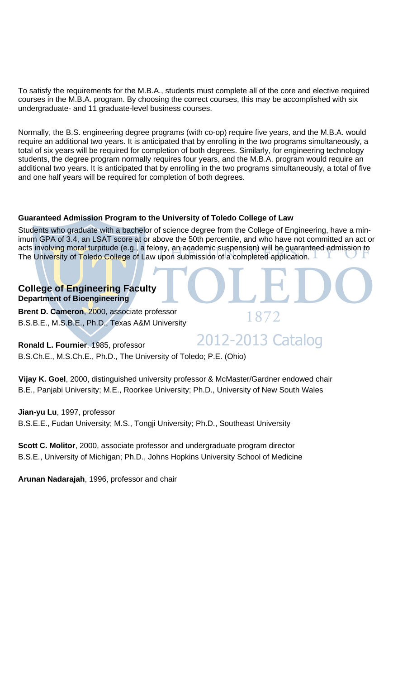To satisfy the requirements for the M.B.A., students must complete all of the core and elective required courses in the M.B.A. program. By choosing the correct courses, this may be accomplished with six undergraduate- and 11 graduate-level business courses.

Normally, the B.S. engineering degree programs (with co-op) require five years, and the M.B.A. would require an additional two years. It is anticipated that by enrolling in the two programs simultaneously, a total of six years will be required for completion of both degrees. Similarly, for engineering technology students, the degree program normally requires four years, and the M.B.A. program would require an additional two years. It is anticipated that by enrolling in the two programs simultaneously, a total of five and one half years will be required for completion of both degrees.

#### **Guaranteed Admission Program to the University of Toledo College of Law**

Students who graduate with a bachelor of science degree from the College of Engineering, have a minimum GPA of 3.4, an LSAT score at or above the 50th percentile, and who have not committed an act or acts involving moral turpitude (e.g., a felony, an academic suspension) will be guaranteed admission to The University of Toledo College of Law upon submission of a completed application.

#### **College of Engineering Faculty Department of Bioengineering**

**Brent D. Cameron**, 2000, associate professor B.S.B.E., M.S.B.E., Ph.D., Texas A&M University

# 2012-2013 Catalog

1872

**Ronald L. Fournier**, 1985, professor

B.S.Ch.E., M.S.Ch.E., Ph.D., The University of Toledo; P.E. (Ohio)

**Vijay K. Goel**, 2000, distinguished university professor & McMaster/Gardner endowed chair B.E., Panjabi University; M.E., Roorkee University; Ph.D., University of New South Wales

**Jian-yu Lu**, 1997, professor

B.S.E.E., Fudan University; M.S., Tongji University; Ph.D., Southeast University

**Scott C. Molitor**, 2000, associate professor and undergraduate program director B.S.E., University of Michigan; Ph.D., Johns Hopkins University School of Medicine

**Arunan Nadarajah**, 1996, professor and chair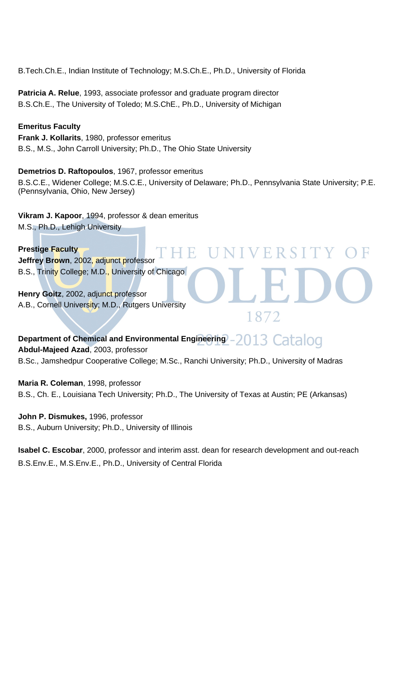B.Tech.Ch.E., Indian Institute of Technology; M.S.Ch.E., Ph.D., University of Florida

**Patricia A. Relue**, 1993, associate professor and graduate program director B.S.Ch.E., The University of Toledo; M.S.ChE., Ph.D., University of Michigan

## **Emeritus Faculty**

**Frank J. Kollarits**, 1980, professor emeritus B.S., M.S., John Carroll University; Ph.D., The Ohio State University

**Demetrios D. Raftopoulos**, 1967, professor emeritus B.S.C.E., Widener College; M.S.C.E., University of Delaware; Ph.D., Pennsylvania State University; P.E. (Pennsylvania, Ohio, New Jersey)

VIVERSITY

1872

**Vikram J. Kapoor**, 1994, professor & dean emeritus M.S., Ph.D., Lehigh University

**Prestige Faculty**  'HE **Jeffrey Brown**, 2002, adjunct professor B.S., Trinity College; M.D., University of Chicago

**Henry Goitz**, 2002, adjunct professor A.B., Cornell University; M.D., Rutgers University

## **Department of Chemical and Environmental Engineering - 2013 Catalog Abdul-Majeed Azad**, 2003, professor

B.Sc., Jamshedpur Cooperative College; M.Sc., Ranchi University; Ph.D., University of Madras

**Maria R. Coleman**, 1998, professor

B.S., Ch. E., Louisiana Tech University; Ph.D., The University of Texas at Austin; PE (Arkansas)

**John P. Dismukes,** 1996, professor

B.S., Auburn University; Ph.D., University of Illinois

**Isabel C. Escobar**, 2000, professor and interim asst. dean for research development and out-reach B.S.Env.E., M.S.Env.E., Ph.D., University of Central Florida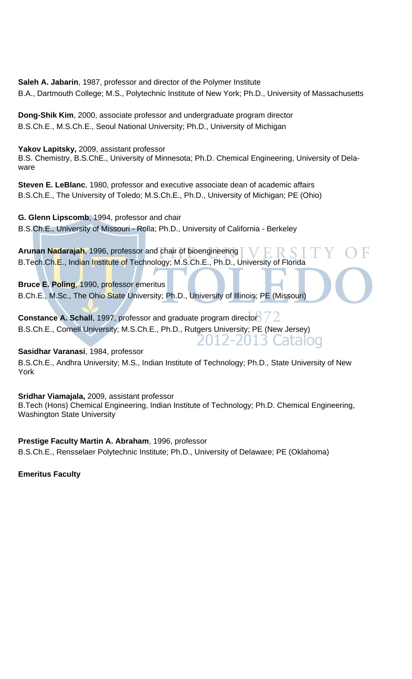**Saleh A. Jabarin**, 1987, professor and director of the Polymer Institute B.A., Dartmouth College; M.S., Polytechnic Institute of New York; Ph.D., University of Massachusetts

**Dong-Shik Kim**, 2000, associate professor and undergraduate program director B.S.Ch.E., M.S.Ch.E., Seoul National University; Ph.D., University of Michigan

**Yakov Lapitsky,** 2009, assistant professor

B.S. Chemistry, B.S.ChE., University of Minnesota; Ph.D. Chemical Engineering, University of Delaware

**Steven E. LeBlanc**, 1980, professor and executive associate dean of academic affairs B.S.Ch.E., The University of Toledo; M.S.Ch.E., Ph.D., University of Michigan; PE (Ohio)

**G. Glenn Lipscomb**, 1994, professor and chair

B.S.Ch.E., University of Missouri - Rolla; Ph.D., University of California - Berkeley

**Arunan Nadarajah**, 1996, professor and chair of bioengineering **NA** B.Tech.Ch.E., Indian Institute of Technology; M.S.Ch.E., Ph.D., University of Florida

**Bruce E. Poling**, 1990, professor emeritus B.Ch.E., M.Sc., The Ohio State University; Ph.D., University of Illinois; PE (Missouri)

**Constance A. Schall**, 1997, professor and graduate program director 2 B.S.Ch.E., Cornell University; M.S.Ch.E., Ph.D., Rutgers University; PE (New Jersey)

**Sasidhar Varanasi**, 1984, professor

B.S.Ch.E., Andhra University; M.S., Indian Institute of Technology; Ph.D., State University of New York

2012-2013 Catalog

**Sridhar Viamajala,** 2009, assistant professor B.Tech (Hons) Chemical Engineering, Indian Institute of Technology; Ph.D. Chemical Engineering, Washington State University

**Prestige Faculty Martin A. Abraham**, 1996, professor B.S.Ch.E., Rensselaer Polytechnic Institute; Ph.D., University of Delaware; PE (Oklahoma)

**Emeritus Faculty**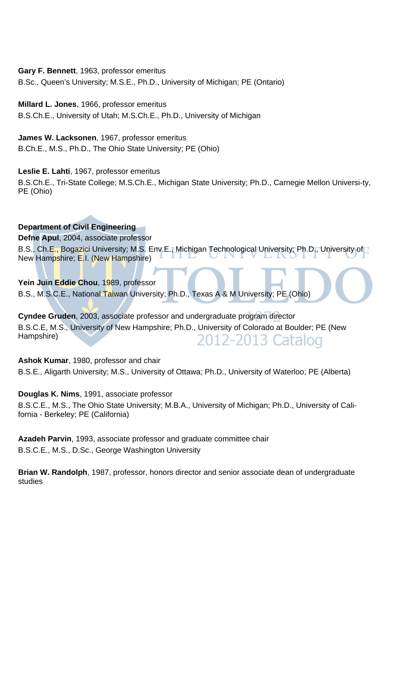## **Gary F. Bennett**, 1963, professor emeritus

B.Sc., Queen's University; M.S.E., Ph.D., University of Michigan; PE (Ontario)

**Millard L. Jones**, 1966, professor emeritus B.S.Ch.E., University of Utah; M.S.Ch.E., Ph.D., University of Michigan

## **James W. Lacksonen**, 1967, professor emeritus

B.Ch.E., M.S., Ph.D., The Ohio State University; PE (Ohio)

#### **Leslie E. Lahti**, 1967, professor emeritus

B.S.Ch.E., Tri-State College; M.S.Ch.E., Michigan State University; Ph.D., Carnegie Mellon Universi-ty, PE (Ohio)

**Department of Civil Engineering Defne Apul**, 2004, associate professor B.S., Ch.E., Bogazici University; M.S. Env.E., Michigan Technological University; Ph.D., University of New Hampshire; E.I. (New Hampshire)

**Yein Juin Eddie Chou**, 1989, professor B.S., M.S.C.E., National Taiwan University; Ph.D., Texas A & M University; PE (Ohio)

**Cyndee Gruden**, 2003, associate professor and undergraduate program director B.S.C.E, M.S., University of New Hampshire; Ph.D., University of Colorado at Boulder; PE (New Hampshire) 2012-2013 Catalog

**Ashok Kumar**, 1980, professor and chair B.S.E., Aligarth University; M.S., University of Ottawa; Ph.D., University of Waterloo; PE (Alberta)

**Douglas K. Nims**, 1991, associate professor

B.S.C.E., M.S., The Ohio State University; M.B.A., University of Michigan; Ph.D., University of California - Berkeley; PE (California)

**Azadeh Parvin**, 1993, associate professor and graduate committee chair B.S.C.E., M.S., D.Sc., George Washington University

**Brian W. Randolph**, 1987, professor, honors director and senior associate dean of undergraduate studies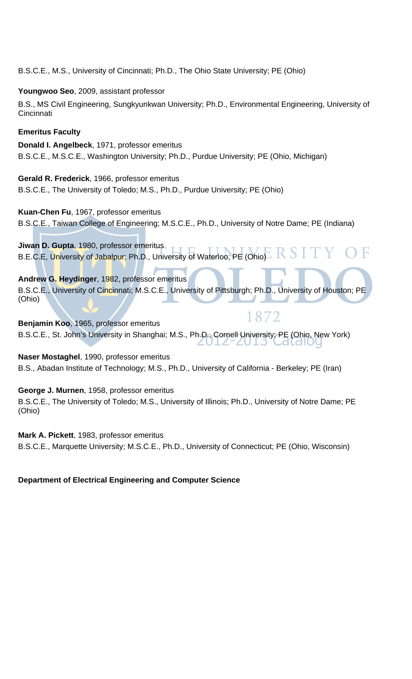B.S.C.E., M.S., University of Cincinnati; Ph.D., The Ohio State University; PE (Ohio)

#### **Youngwoo Seo**, 2009, assistant professor

B.S., MS Civil Engineering, Sungkyunkwan University; Ph.D., Environmental Engineering, University of **Cincinnati** 

#### **Emeritus Faculty**

**Donald I. Angelbeck**, 1971, professor emeritus B.S.C.E., M.S.C.E., Washington University; Ph.D., Purdue University; PE (Ohio, Michigan)

**Gerald R. Frederick**, 1966, professor emeritus B.S.C.E., The University of Toledo; M.S., Ph.D., Purdue University; PE (Ohio)

**Kuan-Chen Fu**, 1967, professor emeritus B.S.C.E., Taiwan College of Engineering; M.S.C.E., Ph.D., University of Notre Dame; PE (Indiana)

**Jiwan D. Gupta**, 1980, professor emeritus B.E.C.E, University of Jabalpur; Ph.D., University of Waterloo; PE (Ohio) R S I

#### **Andrew G. Heydinger**, 1982, professor emeritus

B.S.C.E., University of Cincinnati; M.S.C.E., University of Pittsburgh; Ph.D., University of Houston; PE (Ohio)

 $J L Z^- Z U L J$ 

1872 **Benjamin Koo**, 1965, professor emeritus B.S.C.E., St. John's University in Shanghai; M.S., Ph.D., Cornell University; PE (Ohio, New York)

**Naser Mostaghel**, 1990, professor emeritus B.S., Abadan Institute of Technology; M.S., Ph.D., University of California - Berkeley; PE (Iran)

**George J. Murnen**, 1958, professor emeritus

B.S.C.E., The University of Toledo; M.S., University of Illinois; Ph.D., University of Notre Dame; PE (Ohio)

**Mark A. Pickett**, 1983, professor emeritus B.S.C.E., Marquette University; M.S.C.E., Ph.D., University of Connecticut; PE (Ohio, Wisconsin)

## **Department of Electrical Engineering and Computer Science**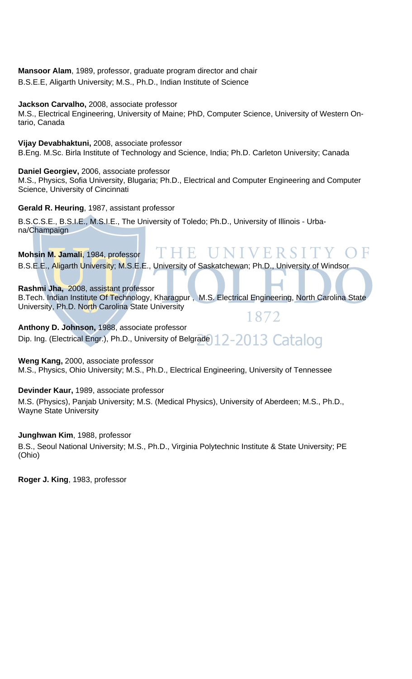**Mansoor Alam**, 1989, professor, graduate program director and chair B.S.E.E, Aligarth University; M.S., Ph.D., Indian Institute of Science

#### **Jackson Carvalho,** 2008, associate professor

M.S., Electrical Engineering, University of Maine; PhD, Computer Science, University of Western Ontario, Canada

#### **Vijay Devabhaktuni,** 2008, associate professor

B.Eng. M.Sc. Birla Institute of Technology and Science, India; Ph.D. Carleton University; Canada

**Daniel Georgiev,** 2006, associate professor

M.S., Physics, Sofia University, Blugaria; Ph.D., Electrical and Computer Engineering and Computer Science, University of Cincinnati

#### **Gerald R. Heuring**, 1987, assistant professor

B.S.C.S.E., B.S.I.E., M.S.I.E., The University of Toledo; Ph.D., University of Illinois - Urbana/Champaign

THE UNIVERSITY OF **Mohsin M. Jamali**, 1984, professor B.S.E.E., Aligarth University; M.S.E.E., University of Saskatchewan; Ph.D., University of Windsor

#### **Rashmi Jha,** 2008, assistant professor

B.Tech. Indian Institute Of Technology, Kharagpur , M.S. Electrical Engineering, North Carolina State University, Ph.D. North Carolina State University 1872

**Anthony D. Johnson,** 1988, associate professor

Dip. Ing. (Electrical Engr.), Ph.D., University of Belgrade  $12$  -  $2013$  Catalog

**Weng Kang,** 2000, associate professor

M.S., Physics, Ohio University; M.S., Ph.D., Electrical Engineering, University of Tennessee

**Devinder Kaur,** 1989, associate professor

M.S. (Physics), Panjab University; M.S. (Medical Physics), University of Aberdeen; M.S., Ph.D., Wayne State University

#### **Junghwan Kim**, 1988, professor

B.S., Seoul National University; M.S., Ph.D., Virginia Polytechnic Institute & State University; PE (Ohio)

**Roger J. King**, 1983, professor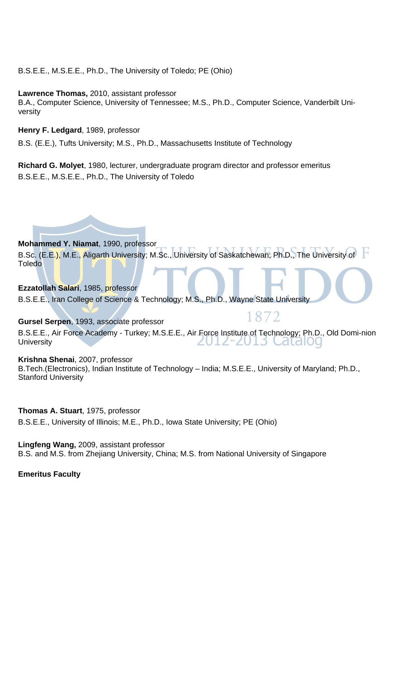B.S.E.E., M.S.E.E., Ph.D., The University of Toledo; PE (Ohio)

#### **Lawrence Thomas,** 2010, assistant professor

B.A., Computer Science, University of Tennessee; M.S., Ph.D., Computer Science, Vanderbilt University

#### **Henry F. Ledgard**, 1989, professor

B.S. (E.E.), Tufts University; M.S., Ph.D., Massachusetts Institute of Technology

**Richard G. Molyet**, 1980, lecturer, undergraduate program director and professor emeritus B.S.E.E., M.S.E.E., Ph.D., The University of Toledo

**Mohammed Y. Niamat**, 1990, professor B.Sc. (E.E.), M.E., Aligarth University; M.Sc., University of Saskatchewan; Ph.D., The University of Toledo

## **Ezzatollah Salari**, 1985, professor B.S.E.E., Iran College of Science & Technology; M.S., Ph.D., Wayne State University

1872 **Gursel Serpen**, 1993, associate professor B.S.E.E., Air Force Academy - Turkey; M.S.E.E., Air Force Institute of Technology; Ph.D., Old Domi-nion **University** Catalog ZUIZ-ZU

#### **Krishna Shenai**, 2007, professor

B.Tech.(Electronics), Indian Institute of Technology – India; M.S.E.E., University of Maryland; Ph.D., Stanford University

**Thomas A. Stuart**, 1975, professor B.S.E.E., University of Illinois; M.E., Ph.D., Iowa State University; PE (Ohio)

**Lingfeng Wang,** 2009, assistant professor B.S. and M.S. from Zhejiang University, China; M.S. from National University of Singapore

**Emeritus Faculty**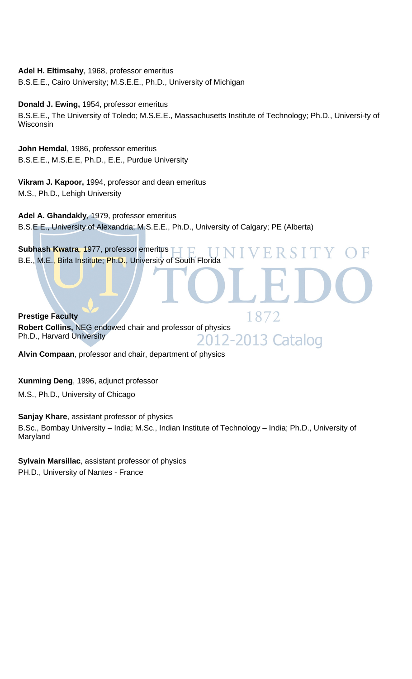**Adel H. Eltimsahy**, 1968, professor emeritus B.S.E.E., Cairo University; M.S.E.E., Ph.D., University of Michigan

**Donald J. Ewing,** 1954, professor emeritus B.S.E.E., The University of Toledo; M.S.E.E., Massachusetts Institute of Technology; Ph.D., Universi-ty of Wisconsin

**John Hemdal**, 1986, professor emeritus B.S.E.E., M.S.E.E, Ph.D., E.E., Purdue University

**Vikram J. Kapoor,** 1994, professor and dean emeritus M.S., Ph.D., Lehigh University

**Adel A. Ghandakly**, 1979, professor emeritus B.S.E.E., University of Alexandria; M.S.E.E., Ph.D., University of Calgary; PE (Alberta)

Subhash Kwatra, 1977, professor emeritus B.E., M.E., Birla Institute; Ph.D., University of South Florida

1872

**Prestige Faculty Robert Collins, NEG** endowed chair and professor of physics<br>Ph.D., Harvard University<br>2012-2013 Catalog Ph.D., Harvard University

**Alvin Compaan**, professor and chair, department of physics

**Xunming Deng**, 1996, adjunct professor

M.S., Ph.D., University of Chicago

**Sanjay Khare**, assistant professor of physics

B.Sc., Bombay University – India; M.Sc., Indian Institute of Technology – India; Ph.D., University of Maryland

**Sylvain Marsillac**, assistant professor of physics PH.D., University of Nantes - France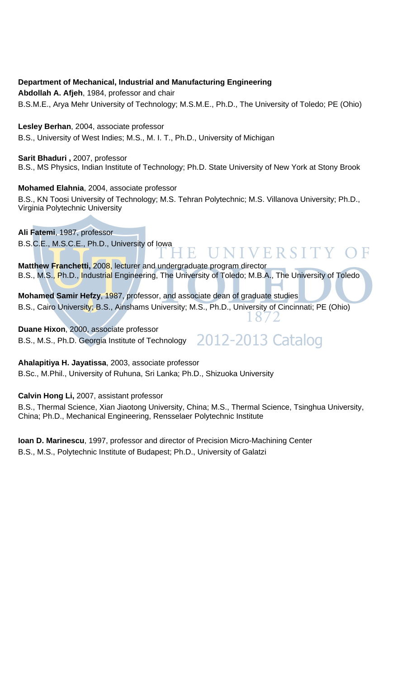## **Department of Mechanical, Industrial and Manufacturing Engineering**

**Abdollah A. Afjeh**, 1984, professor and chair B.S.M.E., Arya Mehr University of Technology; M.S.M.E., Ph.D., The University of Toledo; PE (Ohio)

**Lesley Berhan**, 2004, associate professor B.S., University of West Indies; M.S., M. I. T., Ph.D., University of Michigan

**Sarit Bhaduri ,** 2007, professor B.S., MS Physics, Indian Institute of Technology; Ph.D. State University of New York at Stony Brook

**Mohamed Elahnia**, 2004, associate professor

B.S., KN Toosi University of Technology; M.S. Tehran Polytechnic; M.S. Villanova University; Ph.D., Virginia Polytechnic University

**Ali Fatemi**, 1987, professor B.S.C.E., M.S.C.E., Ph.D., University of Iowa

**Matthew Franchetti,** 2008, lecturer and undergraduate program director B.S., M.S., Ph.D., Industrial Engineering, The University of Toledo; M.B.A., The University of Toledo

E,

UNIVERSITY OF

 $\overline{\mathsf{X}}$ 

2012-2013 Catalog

**Mohamed Samir Hefzy**, 1987, professor, and associate dean of graduate studies B.S., Cairo University; B.S., Ainshams University; M.S., Ph.D., University of Cincinnati; PE (Ohio)

**Duane Hixon**, 2000, associate professor B.S., M.S., Ph.D. Georgia Institute of Technology

**Ahalapitiya H. Jayatissa**, 2003, associate professor B.Sc., M.Phil., University of Ruhuna, Sri Lanka; Ph.D., Shizuoka University

**Calvin Hong Li,** 2007, assistant professor

B.S., Thermal Science, Xian Jiaotong University, China; M.S., Thermal Science, Tsinghua University, China; Ph.D., Mechanical Engineering, Rensselaer Polytechnic Institute

**Ioan D. Marinescu**, 1997, professor and director of Precision Micro-Machining Center B.S., M.S., Polytechnic Institute of Budapest; Ph.D., University of Galatzi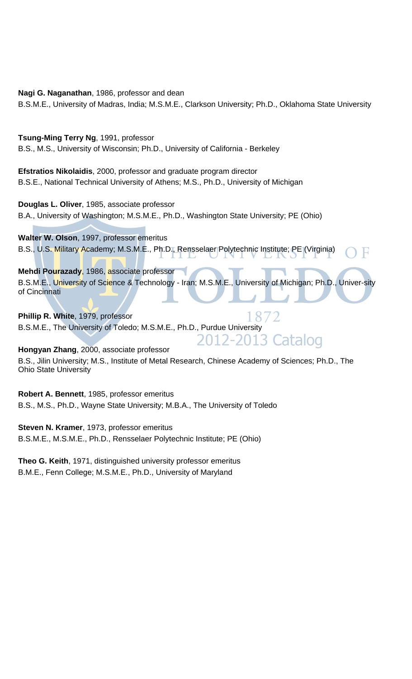#### **Nagi G. Naganathan**, 1986, professor and dean

B.S.M.E., University of Madras, India; M.S.M.E., Clarkson University; Ph.D., Oklahoma State University

#### **Tsung-Ming Terry Ng**, 1991, professor

B.S., M.S., University of Wisconsin; Ph.D., University of California - Berkeley

**Efstratios Nikolaidis**, 2000, professor and graduate program director B.S.E., National Technical University of Athens; M.S., Ph.D., University of Michigan

**Douglas L. Oliver**, 1985, associate professor B.A., University of Washington; M.S.M.E., Ph.D., Washington State University; PE (Ohio)

**Walter W. Olson**, 1997, professor emeritus B.S., U.S. Military Academy; M.S.M.E., Ph.D., Rensselaer Polytechnic Institute; PE (Virginia)

**Mehdi Pourazady**, 1986, associate professor

B.S.M.E., University of Science & Technology - Iran; M.S.M.E., University of Michigan; Ph.D., Univer-sity of Cincinnati

**Phillip R. White**, 1979, professor 187 B.S.M.E., The University of Toledo; M.S.M.E., Ph.D., Purdue University

2012-2013 Catalog **Hongyan Zhang**, 2000, associate professor B.S., Jilin University; M.S., Institute of Metal Research, Chinese Academy of Sciences; Ph.D., The Ohio State University

**Robert A. Bennett**, 1985, professor emeritus B.S., M.S., Ph.D., Wayne State University; M.B.A., The University of Toledo

**Steven N. Kramer**, 1973, professor emeritus B.S.M.E., M.S.M.E., Ph.D., Rensselaer Polytechnic Institute; PE (Ohio)

**Theo G. Keith**, 1971, distinguished university professor emeritus B.M.E., Fenn College; M.S.M.E., Ph.D., University of Maryland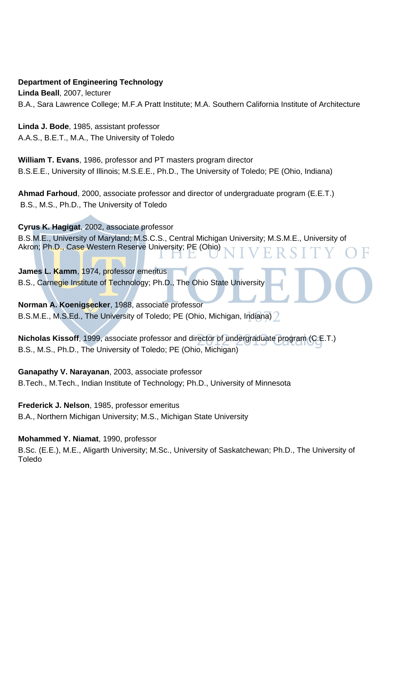## **Department of Engineering Technology**

**Linda Beall**, 2007, lecturer B.A., Sara Lawrence College; M.F.A Pratt Institute; M.A. Southern California Institute of Architecture

**Linda J. Bode**, 1985, assistant professor A.A.S., B.E.T., M.A., The University of Toledo

**William T. Evans**, 1986, professor and PT masters program director B.S.E.E., University of Illinois; M.S.E.E., Ph.D., The University of Toledo; PE (Ohio, Indiana)

**Ahmad Farhoud**, 2000, associate professor and director of undergraduate program (E.E.T.) B.S., M.S., Ph.D., The University of Toledo

**Cyrus K. Hagigat**, 2002, associate professor B.S.M.E., University of Maryland; M.S.C.S., Central Michigan University; M.S.M.E., University of Akron; Ph.D., Case Western Reserve University; PE (Ohio) H.

**James L. Kamm**, 1974, professor emeritus B.S., Carnegie Institute of Technology; Ph.D., The Ohio State University

**Norman A. Koenigsecker**, 1988, associate professor B.S.M.E., M.S.Ed., The University of Toledo; PE (Ohio, Michigan, Indiana)

**Nicholas Kissoff**, 1999, associate professor and director of undergraduate program (C.E.T.) B.S., M.S., Ph.D., The University of Toledo; PE (Ohio, Michigan)

**Ganapathy V. Narayanan**, 2003, associate professor B.Tech., M.Tech., Indian Institute of Technology; Ph.D., University of Minnesota

**Frederick J. Nelson**, 1985, professor emeritus B.A., Northern Michigan University; M.S., Michigan State University

**Mohammed Y. Niamat**, 1990, professor

B.Sc. (E.E.), M.E., Aligarth University; M.Sc., University of Saskatchewan; Ph.D., The University of Toledo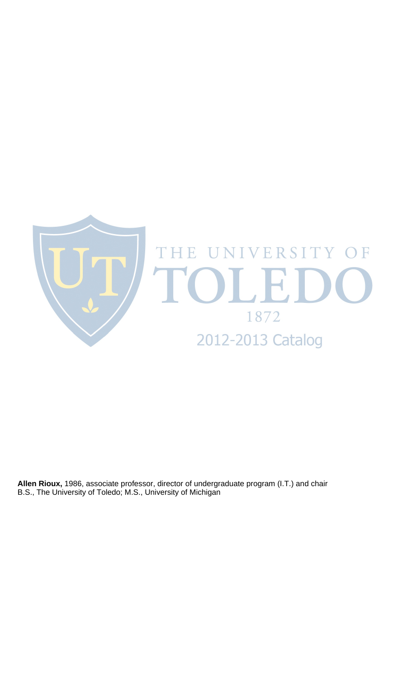

**Allen Rioux,** 1986, associate professor, director of undergraduate program (I.T.) and chair B.S., The University of Toledo; M.S., University of Michigan